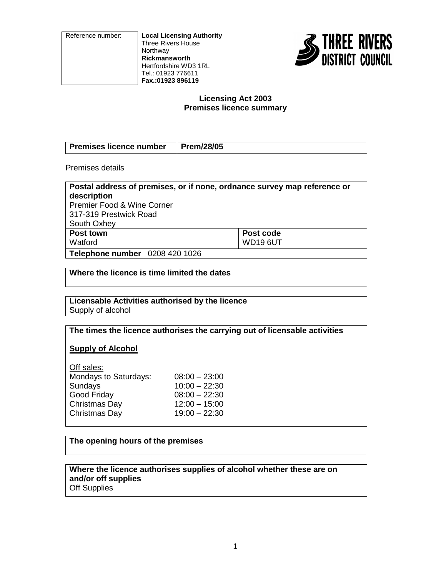Reference number: **Local Licensing Authority** Three Rivers House **Northway Rickmansworth** Hertfordshire WD3 1RL Tel.: 01923 776611 **Fax.:01923 896119**



### **Licensing Act 2003 Premises licence summary**

| Premises licence number   Prem/28/05 |  |
|--------------------------------------|--|

Premises details

| Postal address of premises, or if none, ordnance survey map reference or |                 |  |  |  |
|--------------------------------------------------------------------------|-----------------|--|--|--|
| description                                                              |                 |  |  |  |
| <b>Premier Food &amp; Wine Corner</b>                                    |                 |  |  |  |
| 317-319 Prestwick Road                                                   |                 |  |  |  |
| South Oxhey                                                              |                 |  |  |  |
| Post town                                                                | Post code       |  |  |  |
| Watford                                                                  | <b>WD19 6UT</b> |  |  |  |
| <b>Telephone number</b> 0208 420 1026                                    |                 |  |  |  |

**Where the licence is time limited the dates**

**Licensable Activities authorised by the licence** Supply of alcohol

**The times the licence authorises the carrying out of licensable activities**

**Supply of Alcohol**

| Off sales:            |                 |
|-----------------------|-----------------|
| Mondays to Saturdays: | $08:00 - 23:00$ |
| Sundays               | $10:00 - 22:30$ |
| Good Friday           | $08:00 - 22:30$ |
| Christmas Day         | $12:00 - 15:00$ |
| Christmas Day         | $19:00 - 22:30$ |
|                       |                 |

# **The opening hours of the premises**

**Where the licence authorises supplies of alcohol whether these are on and/or off supplies** Off Supplies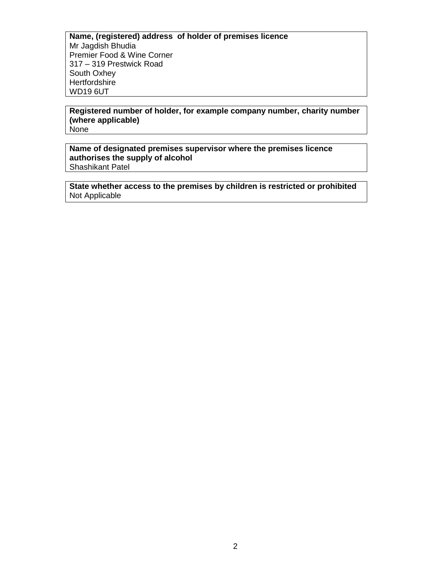**Name, (registered) address of holder of premises licence** Mr Jagdish Bhudia Premier Food & Wine Corner 317 – 319 Prestwick Road South Oxhey **Hertfordshire** WD19 6UT

**Registered number of holder, for example company number, charity number (where applicable)** None

**Name of designated premises supervisor where the premises licence authorises the supply of alcohol** Shashikant Patel

**State whether access to the premises by children is restricted or prohibited** Not Applicable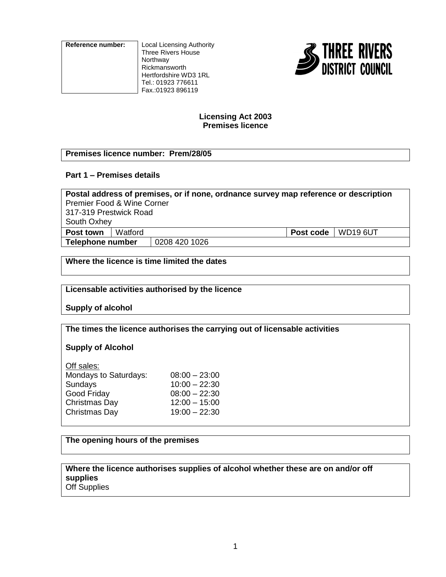**Reference number:** Local Licensing Authority

Three Rivers House Northway Rickmansworth Hertfordshire WD3 1RL Tel.: 01923 776611 Fax.:01923 896119



## **Licensing Act 2003 Premises licence**

# **Premises licence number: Prem/28/05**

# **Part 1 – Premises details**

| Postal address of premises, or if none, ordnance survey map reference or description |         |               |                      |  |
|--------------------------------------------------------------------------------------|---------|---------------|----------------------|--|
| Premier Food & Wine Corner                                                           |         |               |                      |  |
| 317-319 Prestwick Road                                                               |         |               |                      |  |
| South Oxhey                                                                          |         |               |                      |  |
| Post town                                                                            | Watford |               | Post code   WD19 6UT |  |
| Telephone number                                                                     |         | 0208 420 1026 |                      |  |
|                                                                                      |         |               |                      |  |

**Where the licence is time limited the dates**

### **Licensable activities authorised by the licence**

**Supply of alcohol**

**The times the licence authorises the carrying out of licensable activities**

# **Supply of Alcohol**

| Off sales:            |                 |
|-----------------------|-----------------|
| Mondays to Saturdays: | $08:00 - 23:00$ |
| Sundays               | $10:00 - 22:30$ |
| Good Friday           | $08:00 - 22:30$ |
| Christmas Day         | $12:00 - 15:00$ |
| Christmas Day         | $19:00 - 22:30$ |
|                       |                 |

# **The opening hours of the premises**

#### **Where the licence authorises supplies of alcohol whether these are on and/or off supplies** Off Supplies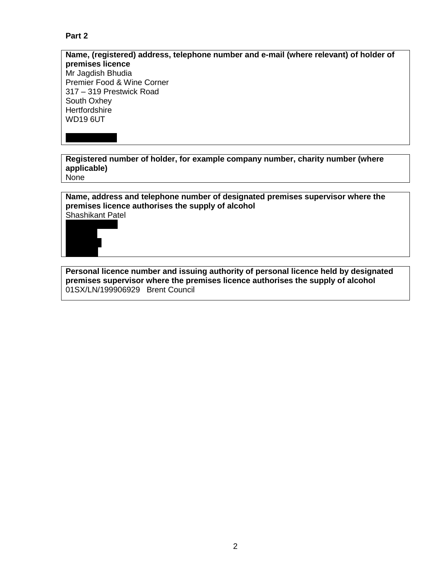# **Part 2**

## **Name, (registered) address, telephone number and e-mail (where relevant) of holder of premises licence** Mr Jagdish Bhudia Premier Food & Wine Corner 317 – 319 Prestwick Road South Oxhey **Hertfordshire** WD19 6UT

**Registered number of holder, for example company number, charity number (where applicable)** None

**Name, address and telephone number of designated premises supervisor where the premises licence authorises the supply of alcohol** Shashikant Patel



**Personal licence number and issuing authority of personal licence held by designated premises supervisor where the premises licence authorises the supply of alcohol** 01SX/LN/199906929 Brent Council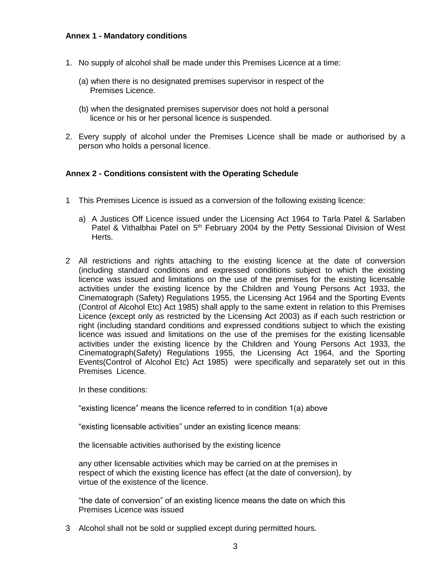## **Annex 1 - Mandatory conditions**

- 1. No supply of alcohol shall be made under this Premises Licence at a time:
	- (a) when there is no designated premises supervisor in respect of the Premises Licence.
	- (b) when the designated premises supervisor does not hold a personal licence or his or her personal licence is suspended.
- 2. Every supply of alcohol under the Premises Licence shall be made or authorised by a person who holds a personal licence.

### **Annex 2 - Conditions consistent with the Operating Schedule**

- 1 This Premises Licence is issued as a conversion of the following existing licence:
	- a) A Justices Off Licence issued under the Licensing Act 1964 to Tarla Patel & Sarlaben Patel & Vithalbhai Patel on 5<sup>th</sup> February 2004 by the Petty Sessional Division of West Herts.
- 2 All restrictions and rights attaching to the existing licence at the date of conversion (including standard conditions and expressed conditions subject to which the existing licence was issued and limitations on the use of the premises for the existing licensable activities under the existing licence by the Children and Young Persons Act 1933, the Cinematograph (Safety) Regulations 1955, the Licensing Act 1964 and the Sporting Events (Control of Alcohol Etc) Act 1985) shall apply to the same extent in relation to this Premises Licence (except only as restricted by the Licensing Act 2003) as if each such restriction or right (including standard conditions and expressed conditions subject to which the existing licence was issued and limitations on the use of the premises for the existing licensable activities under the existing licence by the Children and Young Persons Act 1933, the Cinematograph(Safety) Regulations 1955, the Licensing Act 1964, and the Sporting Events(Control of Alcohol Etc) Act 1985) were specifically and separately set out in this Premises Licence.

In these conditions:

"existing licence" means the licence referred to in condition 1(a) above

"existing licensable activities" under an existing licence means:

the licensable activities authorised by the existing licence

any other licensable activities which may be carried on at the premises in respect of which the existing licence has effect (at the date of conversion), by virtue of the existence of the licence.

"the date of conversion" of an existing licence means the date on which this Premises Licence was issued

3 Alcohol shall not be sold or supplied except during permitted hours.